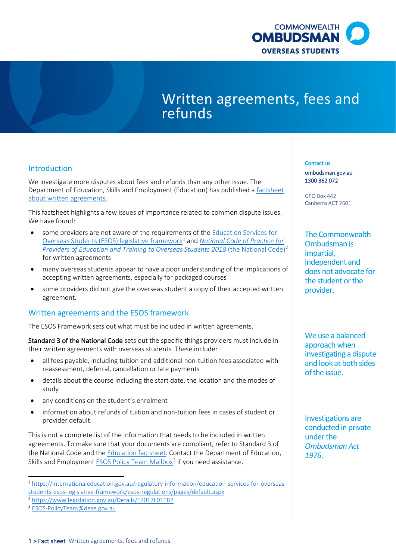

# Written agreements, fees and refunds

# Introduction

We investigate more disputes about fees and refunds than any other issue. The Department of Education, Skills and Employment (Education) has published [a factsheet](https://internationaleducation.gov.au/Regulatory-Information/Documents/National%20Code%202018%20Factsheets/Standard%203.pdf)  [about written agreements.](https://internationaleducation.gov.au/Regulatory-Information/Documents/National%20Code%202018%20Factsheets/Standard%203.pdf)

 This factsheet highlights a few issues of importance related to common dispute issues. We have found:

- some providers are not aware of the requirements of the **Education Services for**  [Overseas Students \(ESOS\) legislative framework](https://internationaleducation.gov.au/regulatory-information/education-services-for-overseas-students-esos-legislative-framework/esos-regulations/pages/default.aspx)[1](#page-0-0) and *[National Code of Practice for](https://www.legislation.gov.au/Details/F2017L01182)  Providers of Education and Training to Overseas Students [2](#page-0-1)018* (the National Code)<sup>2</sup> for written agreements
- • many overseas students appear to have a poor understanding of the implications of accepting written agreements, especially for packaged courses
- • some providers did not give the overseas student a copy of their accepted written agreement.

## Written agreements and the ESOS framework

The ESOS Framework sets out what must be included in written agreements.

Standard 3 of the National Code sets out the specific things providers must include in their written agreements with overseas students. These include:

- all fees payable, including tuition and additional non-tuition fees associated with reassessment, deferral, cancellation or late payments
- • details about the course including the start date, the location and the modes of study
- any conditions on the student's enrolment
- information about refunds of tuition and non-tuition fees in cases of student or provider default.

 agreements. To make sure that your documents are compliant, refer to Standard 3 of the National Code and the [Education factsheet.](https://internationaleducation.gov.au/regulatory-information/Documents/National%20Code%202018%20Factsheets/Standard%203.pdf) Contact the Department of Education, This is not a complete list of the information that needs to be included in written Skills and Employment [ESOS Policy Team Mailbox](mailto:ESOS-PolicyTeam@dese.gov.au)<sup>[3](#page-0-2)</sup> if you need assistance.

#### Contact us

[ombudsman.gov.au](http://www.ombudsman.gov.au/)  1300 362 072

GPO Box 442 Canberra ACT 2601

The Commonwealth Ombudsman is impartial, independent and does not advocate for the student or the provider.

We use a balanced approach when investigating a dispute and look at both sides of the issue.

Investigations are conducted in private under the *Ombudsman Act 1976*.

<span id="page-0-0"></span>[students-esos-legislative-framework/esos-regulations/pages/default.aspx](https://internationaleducation.gov.au/regulatory-information/education-services-for-overseas-students-esos-legislative-framework/esos-regulations/pages/default.aspx)  $^2$ <https://www.legislation.gov.au/Details/F2017L01182> $^3$  [ESOS-PolicyTeam@dese.gov.au](mailto:ESOS-PolicyTeam@dese.gov.au) 2  $^3$  ESOS-PolicyTeam@dese.gov.au 2  $\bullet$ 1 [https://internationaleducation.gov.au/regulatory-information/education-services-for-overseas-](https://internationaleducation.gov.au/regulatory-information/education-services-for-overseas-students-esos-legislative-framework/esos-regulations/pages/default.aspx)

<span id="page-0-1"></span><sup>&</sup>lt;sup>2</sup> https://www.legislation.gov.au/Details/F2017L01182

<span id="page-0-2"></span><sup>&</sup>lt;sup>3</sup> ESOS-PolicyTeam@dese.gov.au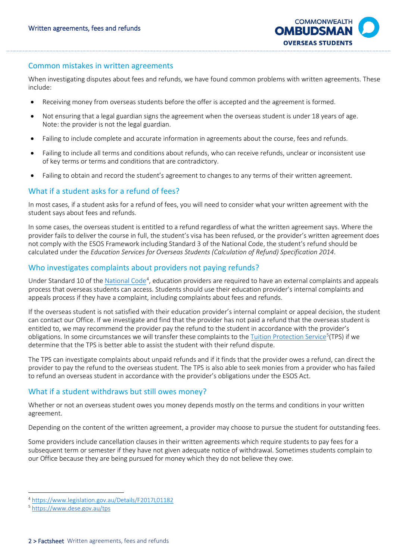

#### Common mistakes in written agreements

 When investigating disputes about fees and refunds, we have found common problems with written agreements. These include:

- Receiving money from overseas students before the offer is accepted and the agreement is formed.
- • Not ensuring that a legal guardian signs the agreement when the overseas student is under 18 years of age. Note: the provider is not the legal guardian.
- Failing to include complete and accurate information in agreements about the course, fees and refunds.
- of key terms or terms and conditions that are contradictory. • Failing to include all terms and conditions about refunds, who can receive refunds, unclear or inconsistent use
- Failing to obtain and record the student's agreement to changes to any terms of their written agreement.

## What if a student asks for a refund of fees?

 In most cases, if a student asks for a refund of fees, you will need to consider what your written agreement with the student says about fees and refunds.

 In some cases, the overseas student is entitled to a refund regardless of what the written agreement says. Where the provider fails to deliver the course in full, the student's visa has been refused, or the provider's written agreement does not comply with the ESOS Framework including Standard 3 of the National Code, the student's refund should be calculated under the *Education Services for Overseas Students (Calculation of Refund) Specification 2014*.

## Who investigates complaints about providers not paying refunds?

Under Standard 10 of th[e National Code](https://www.legislation.gov.au/Details/F2017L01182)<sup>[4](#page-1-0)</sup>, education providers are required to have an external complaints and appeals process that overseas students can access. Students should use their education provider's internal complaints and appeals process if they have a complaint, including complaints about fees and refunds.

 can contact our Office. If we investigate and find that the provider has not paid a refund that the overseas student is determine that the TPS is better able to assist the student with their refund dispute. If the overseas student is not satisfied with their education provider's internal complaint or appeal decision, the student entitled to, we may recommend the provider pay the refund to the student in accordance with the provider's obligations. In some circumstances we will transfer these complaints to the [Tuition Protection Service](https://www.dese.gov.au/tps)<sup>[5](#page-1-1)</sup>(TPS) if we

 The TPS can investigate complaints about unpaid refunds and if it finds that the provider owes a refund, can direct the provider to pay the refund to the overseas student. The TPS is also able to seek monies from a provider who has failed to refund an overseas student in accordance with the provider's obligations under the ESOS Act.

## What if a student withdraws but still owes money?

Whether or not an overseas student owes you money depends mostly on the terms and conditions in your written agreement.

Depending on the content of the written agreement, a provider may choose to pursue the student for outstanding fees.

 subsequent term or semester if they have not given adequate notice of withdrawal. Sometimes students complain to our Office because they are being pursued for money which they do not believe they owe. Some providers include cancellation clauses in their written agreements which require students to pay fees for a

<span id="page-1-0"></span><sup>&</sup>lt;sup>4</sup> https://www.legislation.gov.au/Details/F2017L01182

<span id="page-1-1"></span><sup>&</sup>lt;sup>5</sup> https://www.dese.gov.au/tps